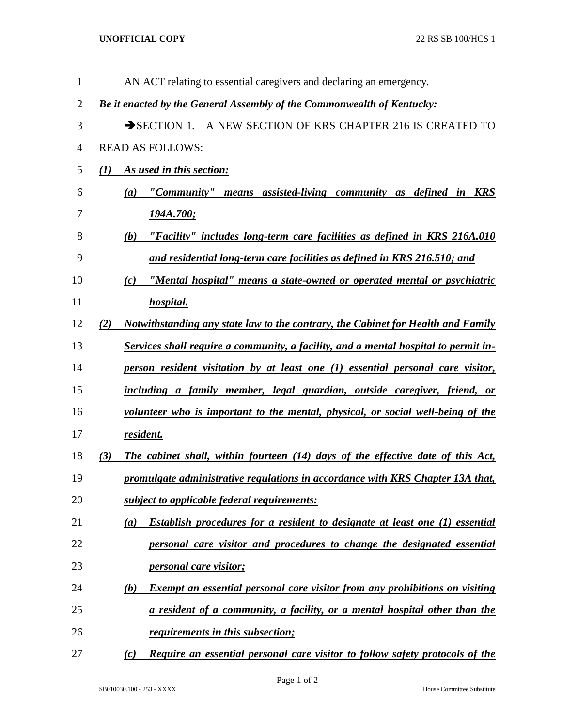## **UNOFFICIAL COPY** 22 RS SB 100/HCS 1

| $\mathbf{1}$   | AN ACT relating to essential caregivers and declaring an emergency.                       |
|----------------|-------------------------------------------------------------------------------------------|
| $\overline{2}$ | Be it enacted by the General Assembly of the Commonwealth of Kentucky:                    |
| 3              | SECTION 1. A NEW SECTION OF KRS CHAPTER 216 IS CREATED TO                                 |
| 4              | <b>READ AS FOLLOWS:</b>                                                                   |
| 5              | (1) As used in this section:                                                              |
| 6              | "Community" means assisted-living community as defined in KRS<br>(a)                      |
| 7              | <u>194A.700;</u>                                                                          |
| 8              | "Facility" includes long-term care facilities as defined in KRS 216A.010<br>(b)           |
| 9              | and residential long-term care facilities as defined in KRS 216.510; and                  |
| 10             | "Mental hospital" means a state-owned or operated mental or psychiatric<br>(c)            |
| 11             | hospital.                                                                                 |
| 12             | Notwithstanding any state law to the contrary, the Cabinet for Health and Family<br>(2)   |
| 13             | Services shall require a community, a facility, and a mental hospital to permit in-       |
| 14             | person resident visitation by at least one (1) essential personal care visitor,           |
| 15             | including a family member, legal guardian, outside caregiver, friend, or                  |
| 16             | volunteer who is important to the mental, physical, or social well-being of the           |
| 17             | resident.                                                                                 |
| 18             | The cabinet shall, within fourteen (14) days of the effective date of this Act,<br>(3)    |
| 19             | promulgate administrative regulations in accordance with KRS Chapter 13A that,            |
| 20             | subject to applicable federal requirements:                                               |
| 21             | Establish procedures for a resident to designate at least one (1) essential<br>(a)        |
| 22             | personal care visitor and procedures to change the designated essential                   |
| 23             | <i>personal care visitor;</i>                                                             |
| 24             | <b>Exempt an essential personal care visitor from any prohibitions on visiting</b><br>(b) |
| 25             | a resident of a community, a facility, or a mental hospital other than the                |
| 26             | <i><u>requirements in this subsection;</u></i>                                            |
| 27             | Require an essential personal care visitor to follow safety protocols of the<br>(c)       |